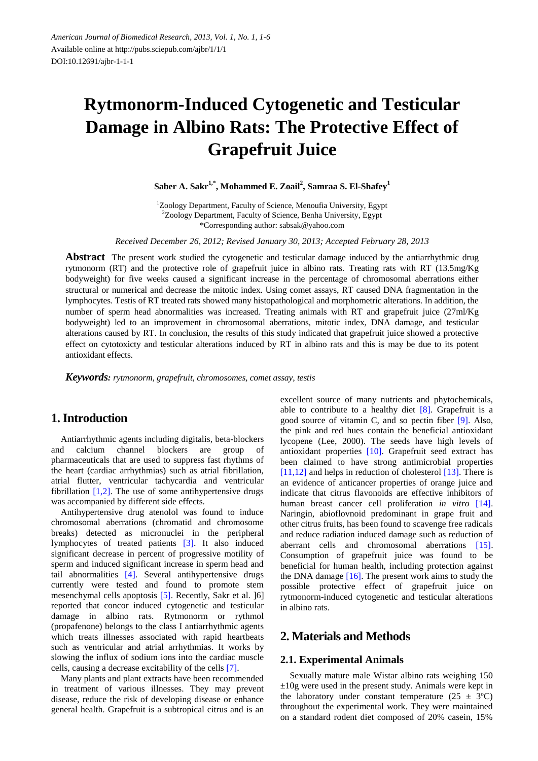# **Rytmonorm-Induced Cytogenetic and Testicular Damage in Albino Rats: The Protective Effect of Grapefruit Juice**

**Saber A. Sakr1,\* , Mohammed E. Zoail<sup>2</sup> , Samraa S. El-Shafey<sup>1</sup>**

<sup>1</sup>Zoology Department, Faculty of Science, Menoufia University, Egypt <sup>2</sup>Zoology Department, Faculty of Science, Benha University, Egypt \*Corresponding author: sabsak@yahoo.com

*Received December 26, 2012; Revised January 30, 2013; Accepted February 28, 2013*

**Abstract** The present work studied the cytogenetic and testicular damage induced by the antiarrhythmic drug rytmonorm (RT) and the protective role of grapefruit juice in albino rats. Treating rats with RT (13.5mg/Kg bodyweight) for five weeks caused a significant increase in the percentage of chromosomal aberrations either structural or numerical and decrease the mitotic index. Using comet assays, RT caused DNA fragmentation in the lymphocytes. Testis of RT treated rats showed many histopathological and morphometric alterations. In addition, the number of sperm head abnormalities was increased. Treating animals with RT and grapefruit juice (27ml/Kg) bodyweight) led to an improvement in chromosomal aberrations, mitotic index, DNA damage, and testicular alterations caused by RT. In conclusion, the results of this study indicated that grapefruit juice showed a protective effect on cytotoxicty and testicular alterations induced by RT in albino rats and this is may be due to its potent antioxidant effects.

*Keywords: rytmonorm, grapefruit, chromosomes, comet assay, testis*

## **1. Introduction**

Antiarrhythmic agents including digitalis, beta-blockers and calcium channel blockers are group of pharmaceuticals that are used to suppress fast rhythms of the heart (cardiac arrhythmias) such as atrial fibrillation, atrial flutter, ventricular tachycardia and ventricular fibrillation  $[1,2]$ . The use of some antihypertensive drugs was accompanied by different side effects.

Antihypertensive drug atenolol was found to induce chromosomal aberrations (chromatid and chromosome breaks) detected as micronuclei in the peripheral lymphocytes of treated patients [\[3\].](#page-4-1) It also induced significant decrease in percent of progressive motility of sperm and induced significant increase in sperm head and tail abnormalities [\[4\].](#page-4-2) Several antihypertensive drugs currently were tested and found to promote stem mesenchymal cells apoptosis [\[5\].](#page-4-3) Recently, Sakr et al. ]6] reported that concor induced cytogenetic and testicular damage in albino rats. Rytmonorm or rythmol (propafenone) belongs to the class I antiarrhythmic agents which treats illnesses associated with rapid heartbeats such as ventricular and atrial arrhythmias. It works by slowing the influx of sodium ions into the cardiac muscle cells, causing a decrease excitability of the cells [\[7\].](#page-4-4)

Many plants and plant extracts have been recommended in treatment of various illnesses. They may prevent disease, reduce the risk of developing disease or enhance general health. Grapefruit is a subtropical citrus and is an excellent source of many nutrients and phytochemicals, able to contribute to a healthy diet  $[8]$ . Grapefruit is a good source of vitamin C, and so pectin fiber [\[9\].](#page-4-6) Also, the pink and red hues contain the beneficial antioxidant lycopene (Lee, 2000). The seeds have high levels of antioxidant properties [\[10\].](#page-4-7) Grapefruit seed extract has been claimed to have strong antimicrobial properties [\[11,12\]](#page-4-8) and helps in reduction of cholesterol [\[13\].](#page-4-9) There is an evidence of anticancer properties of orange juice and indicate that citrus flavonoids are effective inhibitors of human breast cancer cell proliferation *in vitro* [\[14\].](#page-4-10) Naringin, abioflovnoid predominant in grape fruit and other citrus fruits, has been found to scavenge free radicals and reduce radiation induced damage such as reduction of aberrant cells and chromosomal aberrations [\[15\].](#page-4-11) Consumption of grapefruit juice was found to be beneficial for human health, including protection against the DNA damage [\[16\].](#page-4-12) The present work aims to study the possible protective effect of grapefruit juice on rytmonorm-induced cytogenetic and testicular alterations in albino rats.

## **2. Materials and Methods**

### **2.1. Experimental Animals**

Sexually mature male Wistar albino rats weighing 150 ±10g were used in the present study. Animals were kept in the laboratory under constant temperature  $(25 \pm 3 \text{ C})$ throughout the experimental work. They were maintained on a standard rodent diet composed of 20% casein, 15%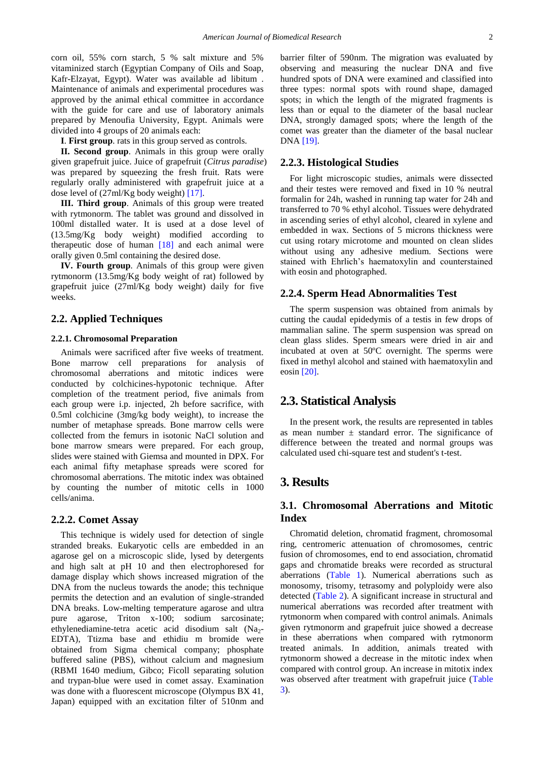corn oil, 55% corn starch, 5 % salt mixture and 5% vitaminized starch (Egyptian Company of Oils and Soap, Kafr-Elzayat, Egypt). Water was available ad libitum . Maintenance of animals and experimental procedures was approved by the animal ethical committee in accordance with the guide for care and use of laboratory animals prepared by Menoufia University, Egypt. Animals were divided into 4 groups of 20 animals each:

**I**. **First group**. rats in this group served as controls.

**II. Second group**. Animals in this group were orally given grapefruit juice. Juice of grapefruit (*Citrus paradise*) was prepared by squeezing the fresh fruit. Rats were regularly orally administered with grapefruit juice at a dose level of (27ml/Kg body weight) [\[17\].](#page-4-13)

**III. Third group**. Animals of this group were treated with rytmonorm. The tablet was ground and dissolved in 100ml distalled water. It is used at a dose level of (13.5mg/Kg body weight) modified according to therapeutic dose of human  $[18]$  and each animal were orally given 0.5ml containing the desired dose.

**IV. Fourth group**. Animals of this group were given rytmonorm (13.5mg/Kg body weight of rat) followed by grapefruit juice (27ml/Kg body weight) daily for five weeks.

#### **2.2. Applied Techniques**

#### **2.2.1. Chromosomal Preparation**

Animals were sacrificed after five weeks of treatment. Bone marrow cell preparations for analysis of chromosomal aberrations and mitotic indices were conducted by colchicines-hypotonic technique. After completion of the treatment period, five animals from each group were i.p. injected, 2h before sacrifice, with 0.5ml colchicine (3mg/kg body weight), to increase the number of metaphase spreads. Bone marrow cells were collected from the femurs in isotonic NaCl solution and bone marrow smears were prepared. For each group, slides were stained with Giemsa and mounted in DPX. For each animal fifty metaphase spreads were scored for chromosomal aberrations. The mitotic index was obtained by counting the number of mitotic cells in 1000 cells/anima.

#### **2.2.2. Comet Assay**

This technique is widely used for detection of single stranded breaks. Eukaryotic cells are embedded in an agarose gel on a microscopic slide, lysed by detergents and high salt at pH 10 and then electrophoresed for damage display which shows increased migration of the DNA from the nucleus towards the anode; this technique permits the detection and an evalution of single-stranded DNA breaks. Low-melting temperature agarose and ultra pure agarose, Triton x-100; sodium sarcosinate; ethylenediamine-tetra acetic acid disodium salt  $(Na)$ -EDTA), Ttizma base and ethidiu m bromide were obtained from Sigma chemical company; phosphate buffered saline (PBS), without calcium and magnesium (RBMI 1640 medium, Gibco; Ficoll separating solution and trypan-blue were used in comet assay. Examination was done with a fluorescent microscope (Olympus BX 41, Japan) equipped with an excitation filter of 510nm and

barrier filter of 590nm. The migration was evaluated by observing and measuring the nuclear DNA and five hundred spots of DNA were examined and classified into three types: normal spots with round shape, damaged spots; in which the length of the migrated fragments is less than or equal to the diameter of the basal nuclear DNA, strongly damaged spots; where the length of the comet was greater than the diameter of the basal nuclear DNA [\[19\].](#page-4-15)

#### **2.2.3. Histological Studies**

For light microscopic studies, animals were dissected and their testes were removed and fixed in 10 % neutral formalin for 24h, washed in running tap water for 24h and transferred to 70 % ethyl alcohol. Tissues were dehydrated in ascending series of ethyl alcohol, cleared in xylene and embedded in wax. Sections of 5 microns thickness were cut using rotary microtome and mounted on clean slides without using any adhesive medium. Sections were stained with Ehrlich's haematoxylin and counterstained with eosin and photographed.

#### **2.2.4. Sperm Head Abnormalities Test**

The sperm suspension was obtained from animals by cutting the caudal epidedymis of a testis in few drops of mammalian saline. The sperm suspension was spread on clean glass slides. Sperm smears were dried in air and incubated at oven at 50  $\mathbb C$  overnight. The sperms were fixed in methyl alcohol and stained with haematoxylin and eosin [\[20\].](#page-4-16)

## **2.3. Statistical Analysis**

In the present work, the results are represented in tables as mean number  $\pm$  standard error. The significance of difference between the treated and normal groups was calculated used chi-square test and student's t-test.

## **3. Results**

## **3.1. Chromosomal Aberrations and Mitotic Index**

Chromatid deletion, chromatid fragment, chromosomal ring, centromeric attenuation of chromosomes, centric fusion of chromosomes, end to end association, chromatid gaps and chromatide breaks were recorded as structural aberrations [\(Table 1\)](#page-2-0). Numerical aberrations such as monosomy, trisomy, tetrasomy and polyploidy were also detected [\(Table 2\)](#page-2-1). A significant increase in structural and numerical aberrations was recorded after treatment with rytmonorm when compared with control animals. Animals given rytmonorm and grapefruit juice showed a decrease in these aberrations when compared with rytmonorm treated animals. In addition, animals treated with rytmonorm showed a decrease in the mitotic index when compared with control group. An increase in mitotix index was observed after treatment with grapefruit juice [\(Table](#page-2-2)  [3\)](#page-2-2).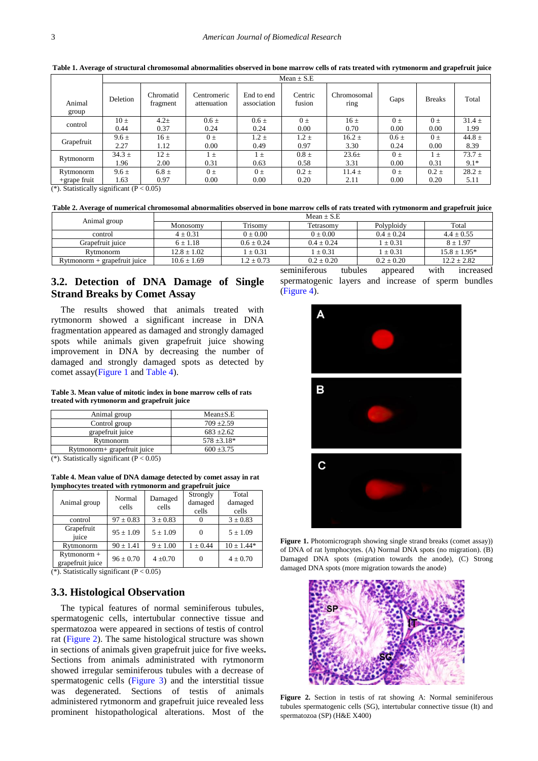|                 | Mean $\pm$ S.E |                       |                            |                           |                   |                     |           |               |            |
|-----------------|----------------|-----------------------|----------------------------|---------------------------|-------------------|---------------------|-----------|---------------|------------|
| Animal<br>group | Deletion       | Chromatid<br>fragment | Centromeric<br>attenuation | End to end<br>association | Centric<br>fusion | Chromosomal<br>ring | Gaps      | <b>Breaks</b> | Total      |
| control         | $10 \pm$       | $4.2 +$               | $0.6 \pm$                  | $0.6 \pm$                 | $0 +$             | $16 \pm$            | $0 \pm$   | $0 \pm$       | $31.4 \pm$ |
|                 | 0.44           | 0.37                  | 0.24                       | 0.24                      | 0.00              | 0.70                | 0.00      | 0.00          | 1.99       |
| Grapefruit      | $9.6 \pm$      | $16 \pm$              | $0 \pm$                    | $1.2 \pm$                 | $1.2 \pm$         | $16.2 \pm$          | $0.6 \pm$ | $0 \pm$       | 44.8 $\pm$ |
|                 | 2.27           | 1.12                  | 0.00                       | 0.49                      | 0.97              | 3.30                | 0.24      | 0.00          | 8.39       |
| Rytmonorm       | $34.3 \pm$     | $12 \pm$              | $1 \pm$                    | $1 \pm$                   | $0.8 \pm$         | $23.6 \pm$          | $0 \pm$   | $\pm$         | $73.7 \pm$ |
|                 | 1.96           | 2.00                  | 0.31                       | 0.63                      | 0.58              | 3.31                | 0.00      | 0.31          | $9.1*$     |
| Rytmonorm       | $9.6 \pm$      | $6.8 \pm$             | $0 \pm$                    | $0 \pm$                   | $0.2 \pm$         | $11.4 \pm$          | $0 \pm$   | $0.2 \pm$     | $28.2 \pm$ |
| $+$ grape fruit | 1.63           | 0.97                  | 0.00                       | 0.00                      | 0.20              | 2.11                | 0.00      | 0.20          | 5.11       |

<span id="page-2-1"></span>**Table 1. Average of structural chromosomal abnormalities observed in bone marrow cells of rats treated with rytmonorm and grapefruit juice**

 $(*).$  Statistically significant ( $P < 0.05$ )

<span id="page-2-0"></span>**Table 2. Average of numerical chromosomal abnormalities observed in bone marrow cells of rats treated with rytmonorm and grapefruit juice**

| Mean $+S.E$     |                |                |                |                  |  |  |
|-----------------|----------------|----------------|----------------|------------------|--|--|
| Monosomy        | Trisomy        | Tetrasomv      | Polyploidy     | Total            |  |  |
| $4 \pm 0.31$    | $0 \pm 0.00$   | $0 \pm 0.00$   | $0.4 \pm 0.24$ | $4.4 \pm 0.55$   |  |  |
| $6 \pm 1.18$    | $0.6 + 0.24$   | $0.4 + 0.24$   | $\pm 0.31$     | $8 + 1.97$       |  |  |
| $12.8 \pm 1.02$ | $\pm 0.31$     | $1 \pm 0.31$   | $\pm 0.31$     | $15.8 \pm 1.95*$ |  |  |
| $10.6 \pm 1.69$ | $1.2 \pm 0.73$ | $0.2 \pm 0.20$ | $0.2 \pm 0.20$ | $12.2 \pm 2.82$  |  |  |
|                 |                |                |                |                  |  |  |

## **3.2. Detection of DNA Damage of Single Strand Breaks by Comet Assay**

The results showed that animals treated with rytmonorm showed a significant increase in DNA fragmentation appeared as damaged and strongly damaged spots while animals given grapefruit juice showing improvement in DNA by decreasing the number of damaged and strongly damaged spots as detected by comet assay[\(Figure 1](#page-2-3) an[d Table 4\)](#page-2-4).

#### **Table 3. Mean value of mitotic index in bone marrow cells of rats treated with rytmonorm and grapefruit juice**

<span id="page-2-2"></span>

| Animal group                | $Mean \pm S.E$   |
|-----------------------------|------------------|
| Control group               | $709 + 2.59$     |
| grapefruit juice            | $683 + 2.62$     |
| Rytmonorm                   | $578 \pm 3.18^*$ |
| Rytmonorm+ grapefruit juice | $600 + 3.75$     |

 $(k)$ . Statistically significant (P < 0.05)

**Table 4. Mean value of DNA damage detected by comet assay in rat lymphocytes treated with rytmonorm and grapefruit juice**

| Animal group                      | Normal<br>cells | Damaged<br>cells | Strongly<br>damaged<br>cells | Total<br>damaged<br>cells |
|-----------------------------------|-----------------|------------------|------------------------------|---------------------------|
| control                           | $97 \pm 0.83$   | $3 \pm 0.83$     |                              | $3 \pm 0.83$              |
| Grapefruit<br>iuice               | $95 \pm 1.09$   | $5 \pm 1.09$     |                              | $5 \pm 1.09$              |
| Rytmonorm                         | $90 \pm 1.41$   | $9 \pm 1.00$     | $1 \pm 0.44$                 | $10 \pm 1.44*$            |
| $Rytmonorm +$<br>grapefruit juice | $96 \pm 0.70$   | $4 \pm 0.70$     |                              | $4 \pm 0.70$              |

(\*). Statistically significant  $(P < 0.05)$ 

## **3.3. Histological Observation**

The typical features of normal seminiferous tubules, spermatogenic cells, intertubular connective tissue and spermatozoa were appeared in sections of testis of control rat [\(Figure 2\)](#page-2-5). The same histological structure was shown in sections of animals given grapefruit juice for five weeks**.**  Sections from animals administrated with rytmonorm showed irregular seminiferous tubules with a decrease of spermatogenic cells [\(Figure 3\)](#page-3-0) and the interstitial tissue was degenerated. Sections of testis of animals administered rytmonorm and grapefruit juice revealed less prominent histopathological alterations. Most of the

seminiferous tubules appeared with increased spermatogenic layers and increase of sperm bundles [\(Figure 4\)](#page-3-1).

<span id="page-2-3"></span>

<span id="page-2-4"></span>**Figure 1.** Photomicrograph showing single strand breaks (comet assay)) of DNA of rat lymphocytes. (A) Normal DNA spots (no migration). (B) Damaged DNA spots (migration towards the anode), (C) Strong damaged DNA spots (more migration towards the anode)

<span id="page-2-5"></span>

**Figure 2.** Section in testis of rat showing A: Normal seminiferous tubules spermatogenic cells (SG), intertubular connective tissue (It) and spermatozoa (SP) (H&E X400)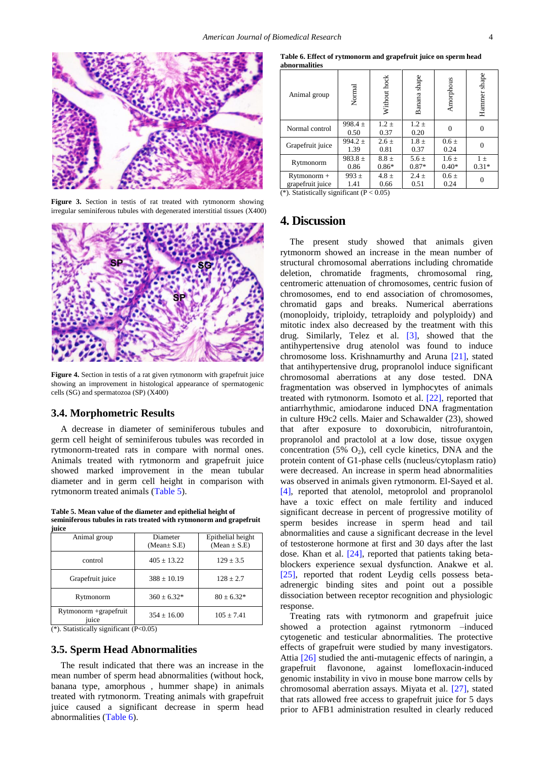<span id="page-3-0"></span>

**Figure 3.** Section in testis of rat treated with rytmonorm showing irregular seminiferous tubules with degenerated interstitial tissues (X400)

<span id="page-3-1"></span>

Figure 4. Section in testis of a rat given rytmonorm with grapefruit juice showing an improvement in histological appearance of spermatogenic cells (SG) and spermatozoa (SP) (X400)

#### **3.4. Morphometric Results**

A decrease in diameter of seminiferous tubules and germ cell height of seminiferous tubules was recorded in rytmonorm-treated rats in compare with normal ones. Animals treated with rytmonorm and grapefruit juice showed marked improvement in the mean tubular diameter and in germ cell height in comparison with rytmonorm treated animals [\(Table 5\)](#page-3-2).

**Table 5. Mean value of the diameter and epithelial height of seminiferous tubules in rats treated with rytmonorm and grapefruit** 

<span id="page-3-2"></span>

| iuice                          |                              |                                       |  |  |  |  |
|--------------------------------|------------------------------|---------------------------------------|--|--|--|--|
| Animal group                   | Diameter<br>$(Mean \pm S.E)$ | Epithelial height<br>(Mean $\pm$ S.E) |  |  |  |  |
| control                        | $405 \pm 13.22$              | $129 + 3.5$                           |  |  |  |  |
| Grapefruit juice               | $388 \pm 10.19$              | $128 + 2.7$                           |  |  |  |  |
| Rytmonorm                      | $360 \pm 6.32*$              | $80 + 6.32*$                          |  |  |  |  |
| Rytmonorm +grapefruit<br>juice | $354 + 16.00$                | $105 + 7.41$                          |  |  |  |  |

(\*). Statistically significant (P<0.05)

#### **3.5. Sperm Head Abnormalities**

The result indicated that there was an increase in the mean number of sperm head abnormalities (without hock, banana type, amorphous , hummer shape) in animals treated with rytmonorm. Treating animals with grapefruit juice caused a significant decrease in sperm head abnormalities [\(Table 6\)](#page-3-3).

**Table 6. Effect of rytmonorm and grapefruit juice on sperm head abnormalities**

<span id="page-3-3"></span>

| Animal group                                                                                                                                                                                                                  | Normal                                        | Without hock                              | Banana shape         | Amorphous            | Hammer shape       |  |  |
|-------------------------------------------------------------------------------------------------------------------------------------------------------------------------------------------------------------------------------|-----------------------------------------------|-------------------------------------------|----------------------|----------------------|--------------------|--|--|
| Normal control                                                                                                                                                                                                                | 998.4 $\pm$<br>0.50                           | $1.2 \pm$<br>0.37                         | $1.2 \pm$<br>0.20    | $\Omega$             | $\theta$           |  |  |
| Grapefruit juice                                                                                                                                                                                                              | 994.2 $\pm$<br>1.39                           | $2.6 \pm$<br>0.81                         | $1.8 \pm$<br>0.37    | $0.6 \pm$<br>0.24    | 0                  |  |  |
| Rytmonorm                                                                                                                                                                                                                     | 983.8 $\pm$<br>0.86                           | $8.8 \pm$<br>$0.86*$                      | $5.6 \pm$<br>$0.87*$ | $1.6 \pm$<br>$0.40*$ | $1 \pm$<br>$0.31*$ |  |  |
| $Rytmonorm +$<br>grapefruit juice<br>$\mathcal{L}(\mathbf{1},\mathbf{1}) = \mathcal{L}(\mathbf{1},\mathbf{1}) = \mathcal{L}(\mathbf{1},\mathbf{1}) = \mathcal{L}(\mathbf{1},\mathbf{1}) = \mathcal{L}(\mathbf{1},\mathbf{1})$ | 993 $\pm$<br>1.41<br>$\cdot$ $\sim$<br>$\sim$ | 4.8 $\pm$<br>0.66<br>$\sim$ $\sim$ $\sim$ | $2.4 \pm$<br>0.51    | $0.6 \pm$<br>0.24    | $\Omega$           |  |  |

(\*). Statistically significant ( $P < 0.05$ )

## **4. Discussion**

The present study showed that animals given rytmonorm showed an increase in the mean number of structural chromosomal aberrations including chromatide deletion, chromatide fragments, chromosomal ring, centromeric attenuation of chromosomes, centric fusion of chromosomes, end to end association of chromosomes, chromatid gaps and breaks. Numerical aberrations (monoploidy, triploidy, tetraploidy and polyploidy) and mitotic index also decreased by the treatment with this drug. Similarly, Telez et al. [\[3\],](#page-4-1) showed that the antihypertensive drug atenolol was found to induce chromosome loss. Krishnamurthy and Aruna [\[21\],](#page-4-17) stated that antihypertensive drug, propranolol induce significant chromosomal aberrations at any dose tested. DNA fragmentation was observed in lymphocytes of animals treated with rytmonorm. Isomoto et al. [\[22\],](#page-4-18) reported that antiarrhythmic, amiodarone induced DNA fragmentation in culture H9c2 cells. Maier and Schawalder (23), showed that after exposure to doxorubicin, nitrofurantoin, propranolol and practolol at a low dose, tissue oxygen concentration (5%  $O_2$ ), cell cycle kinetics, DNA and the protein content of G1-phase cells (nucleus/cytoplasm ratio) were decreased. An increase in sperm head abnormalities was observed in animals given rytmonorm. El-Sayed et al. [\[4\],](#page-4-2) reported that atenolol, metoprolol and propranolol have a toxic effect on male fertility and induced significant decrease in percent of progressive motility of sperm besides increase in sperm head and tail abnormalities and cause a significant decrease in the level of testosterone hormone at first and 30 days after the last dose. Khan et al. [\[24\],](#page-4-19) reported that patients taking betablockers experience sexual dysfunction. Anakwe et al. [\[25\],](#page-4-20) reported that rodent Leydig cells possess betaadrenergic binding sites and point out a possible dissociation between receptor recognition and physiologic response.

Treating rats with rytmonorm and grapefruit juice showed a protection against rytmonorm –induced cytogenetic and testicular abnormalities. The protective effects of grapefruit were studied by many investigators. Attia [\[26\]](#page-4-21) studied the anti-mutagenic effects of naringin, a grapefruit flavonone, against lomefloxacin-induced genomic instability in vivo in mouse bone marrow cells by chromosomal aberration assays. Miyata et al. [\[27\],](#page-5-0) stated that rats allowed free access to grapefruit juice for 5 days prior to AFB1 administration resulted in clearly reduced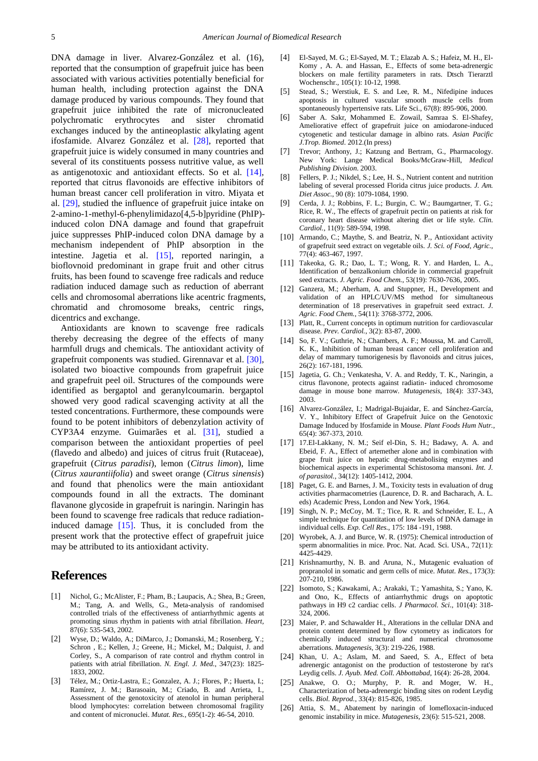DNA damage in liver. Alvarez-González et al. (16), reported that the consumption of grapefruit juice has been associated with various activities potentially beneficial for human health, including protection against the DNA damage produced by various compounds. They found that grapefruit juice inhibited the rate of micronucleated polychromatic erythrocytes and sister chromatid exchanges induced by the antineoplastic alkylating agent ifosfamide. Alvarez González et al. [\[28\],](#page-5-1) reported that grapefruit juice is widely consumed in many countries and several of its constituents possess nutritive value, as well as antigenotoxic and antioxidant effects. So et al. [\[14\],](#page-4-10) reported that citrus flavonoids are effective inhibitors of human breast cancer cell proliferation in vitro. Miyata et al. [\[29\],](#page-5-2) studied the influence of grapefruit juice intake on 2-amino-1-methyl-6-phenylimidazo[4,5-b]pyridine (PhIP) induced colon DNA damage and found that grapefruit juice suppresses PhIP-induced colon DNA damage by a mechanism independent of PhIP absorption in the intestine. Jagetia et al. [\[15\],](#page-4-11) reported naringin, a bioflovnoid predominant in grape fruit and other citrus fruits, has been found to scavenge free radicals and reduce radiation induced damage such as reduction of aberrant cells and chromosomal aberrations like acentric fragments, chromatid and chromosome breaks, centric rings, dicentrics and exchange.

Antioxidants are known to scavenge free radicals thereby decreasing the degree of the effects of many harmfull drugs and chemicals. The antioxidant activity of grapefruit components was studied. Girennavar et al. [\[30\],](#page-5-3) isolated two bioactive compounds from grapefruit juice and grapefruit peel oil. Structures of the compounds were identified as bergaptol and geranylcoumarin. bergaptol showed very good radical scavenging activity at all the tested concentrations. Furthermore, these compounds were found to be potent inhibitors of debenzylation activity of CYP3A4 enzyme. Guimarães et al. [\[31\],](#page-5-4) studied a comparison between the antioxidant properties of peel (flavedo and albedo) and juices of citrus fruit (Rutaceae), grapefruit (*Citrus paradisi*), lemon (*Citrus limon*), lime (*Citrus xaurantiifolia*) and sweet orange (*Citrus sinensis*) and found that phenolics were the main antioxidant compounds found in all the extracts. The dominant flavanone glycoside in grapefruit is naringin. Naringin has been found to scavenge free radicals that reduce radiationinduced damage [\[15\].](#page-4-11) Thus, it is concluded from the present work that the protective effect of grapefruit juice may be attributed to its antioxidant activity.

## **References**

- <span id="page-4-0"></span>[1] Nichol, G.; McAlister, F.; Pham, B.; Laupacis, A.; Shea, B.; Green, M.; Tang, A. and Wells, G., Meta-analysis of randomised controlled trials of the effectiveness of antiarrhythmic agents at promoting sinus rhythm in patients with atrial fibrillation. *Heart,* 87(6): 535-543, 2002.
- [2] Wyse, D.; Waldo, A.; DiMarco, J.; Domanski, M.; Rosenberg, Y.; Schron , E.; Kellen, J.; Greene, H.; Mickel, M.; Dalquist, J. and Corley, S., A comparison of rate control and rhythm control in patients with atrial fibrillation. *N. Engl. J. Med.*, 347(23): 1825- 1833, 2002.
- <span id="page-4-1"></span>[3] Télez, M.; Ortiz-Lastra, E.; Gonzalez, A. J.; Flores, P.; Huerta, I.; Ramírez, J. M.; Barasoain, M.; Criado, B. and Arrieta, I., Assessment of the genotoxicity of atenolol in human peripheral blood lymphocytes: correlation between chromosomal fragility and content of micronuclei. *Mutat. Res.*, 695(1-2): 46-54, 2010.
- <span id="page-4-2"></span>[4] El-Sayed, M. G.; El-Sayed, M. T.; Elazab A. S.; Hafeiz, M. H., El-Komy , A. A. and Hassan, E., Effects of some beta-adrenergic blockers on male fertility parameters in rats. Dtsch Tierarztl Wochenschr., 105(1): 10-12, 1998.
- <span id="page-4-3"></span>[5] Stead, S.; Werstiuk, E. S. and Lee, R. M., Nifedipine induces apoptosis in cultured vascular smooth muscle cells from spontaneously hypertensive rats. Life Sci., 67(8): 895-906, 2000.
- [6] Saber A. Sakr, Mohammed E. Zowail, Samraa S. El-Shafey, Ameliorative effect of grapefruit juice on amiodarone-induced cytogenetic and testicular damage in albino rats. *Asian Pacific J.Trop. Biomed*. 2012.(In press)
- <span id="page-4-4"></span>[7] Trevor; Anthony, J.; Katzung and Bertram, G., Pharmacology. New York: Lange Medical Books/McGraw-Hill, *Medical Publishing Division*. 2003.
- <span id="page-4-5"></span>[8] Fellers, P. J.; Nikdel, S.; Lee, H. S., Nutrient content and nutrition labeling of several processed Florida citrus juice products. *J. Am. Diet Assoc.*, 90 (8): 1079-1084, 1990.
- <span id="page-4-6"></span>[9] Cerda, J. J.; Robbins, F. L.; Burgin, C. W.; Baumgartner, T. G.; Rice, R. W., The effects of grapefruit pectin on patients at risk for coronary heart disease without altering diet or life style. *Clin. Cardiol.*, 11(9): 589-594, 1998.
- <span id="page-4-7"></span>[10] Armando, C.; Maythe, S. and Beatriz, N. P., Antioxidant activity of grapefruit seed extract on vegetable oils. *J. Sci. of Food, Agric.*, 77(4): 463-467, 1997.
- <span id="page-4-8"></span>[11] Takeoka, G. R.; Dao, L. T.; Wong, R. Y. and Harden, L. A., Identification of benzalkonium chloride in commercial grapefruit seed extracts. *J. Agric. Food Chem.*, 53(19): 7630-7636, 2005.
- [12] Ganzera, M.; Aberham, A. and Stuppner, H., Development and validation of an HPLC/UV/MS method for simultaneous determination of 18 preservatives in grapefruit seed extract. *J. Agric. Food Chem.*, 54(11): 3768-3772, 2006.
- <span id="page-4-9"></span>[13] Platt, R., Current concepts in optimum nutrition for cardiovascular disease. *Prev. Cardiol.*, 3(2): 83-87, 2000.
- <span id="page-4-10"></span>[14] So, F. V.; Guthrie, N.; Chambers, A. F.; Moussa, M. and Carroll, K. K., Inhibition of human breast cancer cell proliferation and delay of mammary tumorigenesis by flavonoids and citrus juices, 26(2): 167-181, 1996.
- <span id="page-4-11"></span>[15] Jagetia, G. Ch.; Venkatesha, V. A. and Reddy, T. K., Naringin, a citrus flavonone, protects against radiatin- induced chromosome damage in mouse bone marrow. *Mutagenesis*, 18(4): 337-343, 2003.
- <span id="page-4-12"></span>[16] Alvarez-González, I.; Madrigal-Bujaidar, E. and Sánchez-García, V. Y., Inhibitory Effect of Grapefruit Juice on the Genotoxic Damage Induced by Ifosfamide in Mouse. *Plant Foods Hum Nutr.*, 65(4): 367-373, 2010.
- <span id="page-4-13"></span>[17] 17.El-Lakkany, N. M.; Seif el-Din, S. H.; Badawy, A. A. and Ebeid, F. A., Effect of artemether alone and in combination with grape fruit juice on hepatic drug-metabolising enzymes and biochemical aspects in experimental Schistosoma mansoni. *Int. J. of parasitol.*, 34(12): 1405-1412, 2004.
- <span id="page-4-14"></span>[18] Paget, G. E. and Barnes, J. M., Toxicity tests in evaluation of drug activities pharmacometries (Laurence, D. R. and Bacharach, A. L. eds) Academic Press, London and New York, 1964.
- <span id="page-4-15"></span>[19] Singh, N. P.; McCoy, M. T.; Tice, R. R. and Schneider, E. L., A simple technique for quantitation of low levels of DNA damage in individual cells. *Exp. Cell Res.*, 175: 184 -191, 1988.
- <span id="page-4-16"></span>[20] Wyrobek, A. J. and Burce, W. R. (1975): Chemical introduction of sperm abnormalities in mice. Proc. Nat. Acad. Sci. USA., 72(11): 4425-4429.
- <span id="page-4-17"></span>[21] Krishnamurthy, N. B. and Aruna, N., Mutagenic evaluation of propranolol in somatic and germ cells of mice. *Mutat. Res.*, 173(3): 207-210, 1986.
- <span id="page-4-18"></span>[22] Isomoto, S.; Kawakami, A.; Arakaki, T.; Yamashita, S.; Yano, K. and Ono, K., Effects of antiarrhythmic drugs on apoptotic pathways in H9 c2 cardiac cells. *J Pharmacol. Sci.*, 101(4): 318- 324, 2006.
- [23] Maier, P. and Schawalder H., Alterations in the cellular DNA and protein content determined by flow cytometry as indicators for chemically induced structural and numerical chromosome aberrations. *Mutagenesis*, 3(3): 219-226, 1988.
- <span id="page-4-19"></span>[24] Khan, U. A.; Aslam, M. and Saeed, S. A., Effect of beta adrenergic antagonist on the production of testosterone by rat's Leydig cells. *J. Ayub. Med. Coll. Abbottabad*, 16(4): 26-28, 2004.
- <span id="page-4-20"></span>[25] Anakwe, O. O.; Murphy, P. R. and Moger, W. H., Characterization of beta-adrenergic binding sites on rodent Leydig cells. *Biol. Reprod.*, 33(4): 815-826, 1985.
- <span id="page-4-21"></span>[26] Attia, S. M., Abatement by naringin of lomefloxacin-induced genomic instability in mice. *Mutagenesis*, 23(6): 515-521, 2008.